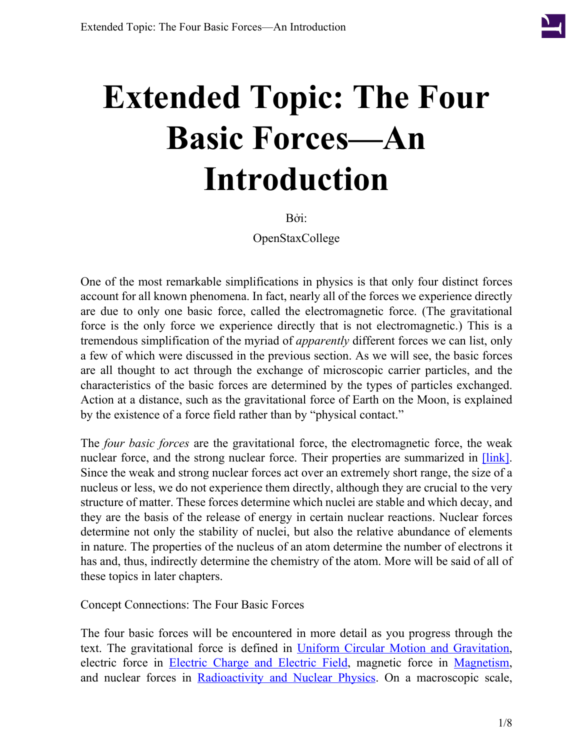

# **Extended Topic: The Four Basic Forces—An Introduction**

Bởi:

OpenStaxCollege

One of the most remarkable simplifications in physics is that only four distinct forces account for all known phenomena. In fact, nearly all of the forces we experience directly are due to only one basic force, called the electromagnetic force. (The gravitational force is the only force we experience directly that is not electromagnetic.) This is a tremendous simplification of the myriad of *apparently* different forces we can list, only a few of which were discussed in the previous section. As we will see, the basic forces are all thought to act through the exchange of microscopic carrier particles, and the characteristics of the basic forces are determined by the types of particles exchanged. Action at a distance, such as the gravitational force of Earth on the Moon, is explained by the existence of a force field rather than by "physical contact."

The *four basic forces* are the gravitational force, the electromagnetic force, the weak nuclear force, and the strong nuclear force. Their properties are summarized in [\[link\].](#page-1-0) Since the weak and strong nuclear forces act over an extremely short range, the size of a nucleus or less, we do not experience them directly, although they are crucial to the very structure of matter. These forces determine which nuclei are stable and which decay, and they are the basis of the release of energy in certain nuclear reactions. Nuclear forces determine not only the stability of nuclei, but also the relative abundance of elements in nature. The properties of the nucleus of an atom determine the number of electrons it has and, thus, indirectly determine the chemistry of the atom. More will be said of all of these topics in later chapters.

Concept Connections: The Four Basic Forces

The four basic forces will be encountered in more detail as you progress through the text. The gravitational force is defined in Uniform Circular Motion and [Gravitation,](/m42140) electric force in Electric Charge and [Electric](/m42299) Field, magnetic force in [Magnetism,](/m42365) and nuclear forces in [Radioactivity](/m42620) and Nuclear Physics. On a macroscopic scale,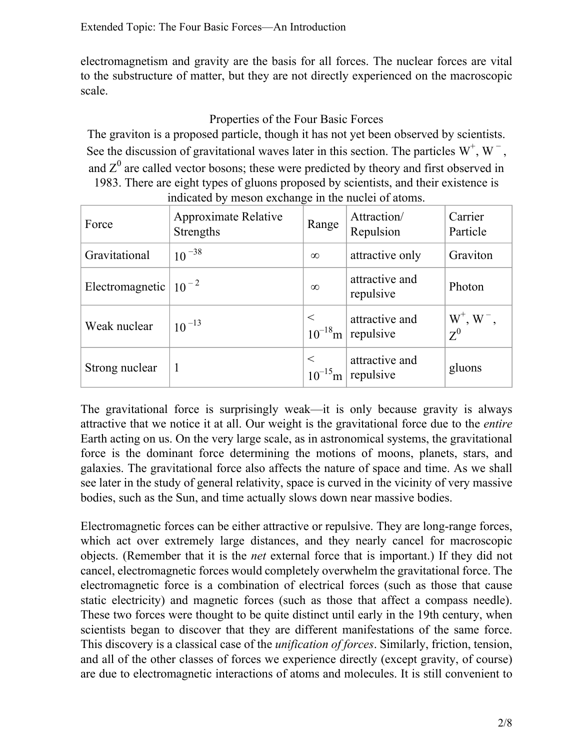electromagnetism and gravity are the basis for all forces. The nuclear forces are vital to the substructure of matter, but they are not directly experienced on the macroscopic scale.

#### Properties of the Four Basic Forces

<span id="page-1-0"></span>The graviton is a proposed particle, though it has not yet been observed by scientists. See the discussion of gravitational waves later in this section. The particles  $W^+$ ,  $W^-$ , and  $Z^0$  are called vector bosons; these were predicted by theory and first observed in 1983. There are eight types of gluons proposed by scientists, and their existence is

| Force                     | <b>Approximate Relative</b><br><b>Strengths</b> | Range    | Attraction/<br>Repulsion                 | Carrier<br>Particle                              |
|---------------------------|-------------------------------------------------|----------|------------------------------------------|--------------------------------------------------|
| Gravitational             | $10^{-38}$                                      | $\infty$ | attractive only                          | Graviton                                         |
| Electromagnetic $10^{-2}$ |                                                 | $\infty$ | attractive and<br>repulsive              | Photon                                           |
| Weak nuclear              | $10^{-13}$                                      |          | attractive and<br>$10^{-18}$ m repulsive | $\begin{bmatrix} W^+, W^-, \\ Z^0 \end{bmatrix}$ |
| Strong nuclear            |                                                 |          | attractive and<br>repulsive              | gluons                                           |

indicated by meson exchange in the nuclei of atoms.

The gravitational force is surprisingly weak—it is only because gravity is always attractive that we notice it at all. Our weight is the gravitational force due to the *entire* Earth acting on us. On the very large scale, as in astronomical systems, the gravitational force is the dominant force determining the motions of moons, planets, stars, and galaxies. The gravitational force also affects the nature of space and time. As we shall see later in the study of general relativity, space is curved in the vicinity of very massive bodies, such as the Sun, and time actually slows down near massive bodies.

Electromagnetic forces can be either attractive or repulsive. They are long-range forces, which act over extremely large distances, and they nearly cancel for macroscopic objects. (Remember that it is the *net* external force that is important.) If they did not cancel, electromagnetic forces would completely overwhelm the gravitational force. The electromagnetic force is a combination of electrical forces (such as those that cause static electricity) and magnetic forces (such as those that affect a compass needle). These two forces were thought to be quite distinct until early in the 19th century, when scientists began to discover that they are different manifestations of the same force. This discovery is a classical case of the *unification of forces*. Similarly, friction, tension, and all of the other classes of forces we experience directly (except gravity, of course) are due to electromagnetic interactions of atoms and molecules. It is still convenient to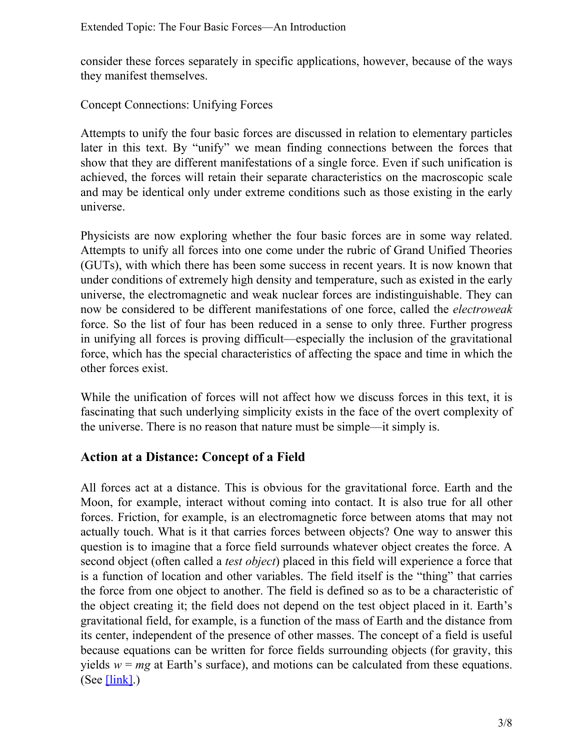consider these forces separately in specific applications, however, because of the ways they manifest themselves.

Concept Connections: Unifying Forces

Attempts to unify the four basic forces are discussed in relation to elementary particles later in this text. By "unify" we mean finding connections between the forces that show that they are different manifestations of a single force. Even if such unification is achieved, the forces will retain their separate characteristics on the macroscopic scale and may be identical only under extreme conditions such as those existing in the early universe.

Physicists are now exploring whether the four basic forces are in some way related. Attempts to unify all forces into one come under the rubric of Grand Unified Theories (GUTs), with which there has been some success in recent years. It is now known that under conditions of extremely high density and temperature, such as existed in the early universe, the electromagnetic and weak nuclear forces are indistinguishable. They can now be considered to be different manifestations of one force, called the *electroweak* force. So the list of four has been reduced in a sense to only three. Further progress in unifying all forces is proving difficult—especially the inclusion of the gravitational force, which has the special characteristics of affecting the space and time in which the other forces exist.

While the unification of forces will not affect how we discuss forces in this text, it is fascinating that such underlying simplicity exists in the face of the overt complexity of the universe. There is no reason that nature must be simple—it simply is.

## **Action at a Distance: Concept of a Field**

All forces act at a distance. This is obvious for the gravitational force. Earth and the Moon, for example, interact without coming into contact. It is also true for all other forces. Friction, for example, is an electromagnetic force between atoms that may not actually touch. What is it that carries forces between objects? One way to answer this question is to imagine that a force field surrounds whatever object creates the force. A second object (often called a *test object*) placed in this field will experience a force that is a function of location and other variables. The field itself is the "thing" that carries the force from one object to another. The field is defined so as to be a characteristic of the object creating it; the field does not depend on the test object placed in it. Earth's gravitational field, for example, is a function of the mass of Earth and the distance from its center, independent of the presence of other masses. The concept of a field is useful because equations can be written for force fields surrounding objects (for gravity, this yields  $w = mg$  at Earth's surface), and motions can be calculated from these equations. (See  $[\text{link}]$ .)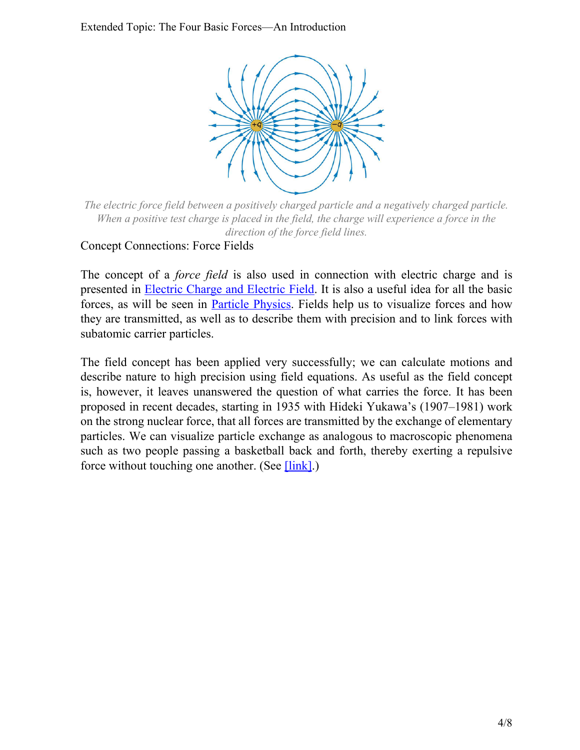<span id="page-3-0"></span>

*The electric force field between a positively charged particle and a negatively charged particle. When a positive test charge is placed in the field, the charge will experience a force in the direction of the force field lines.*

Concept Connections: Force Fields

The concept of a *force field* is also used in connection with electric charge and is presented in Electric Charge and [Electric](/m42299) Field. It is also a useful idea for all the basic forces, as will be seen in [Particle](/m42667) Physics. Fields help us to visualize forces and how they are transmitted, as well as to describe them with precision and to link forces with subatomic carrier particles.

The field concept has been applied very successfully; we can calculate motions and describe nature to high precision using field equations. As useful as the field concept is, however, it leaves unanswered the question of what carries the force. It has been proposed in recent decades, starting in 1935 with Hideki Yukawa's (1907–1981) work on the strong nuclear force, that all forces are transmitted by the exchange of elementary particles. We can visualize particle exchange as analogous to macroscopic phenomena such as two people passing a basketball back and forth, thereby exerting a repulsive force without touching one another. (See [\[link\]](#page-4-0).)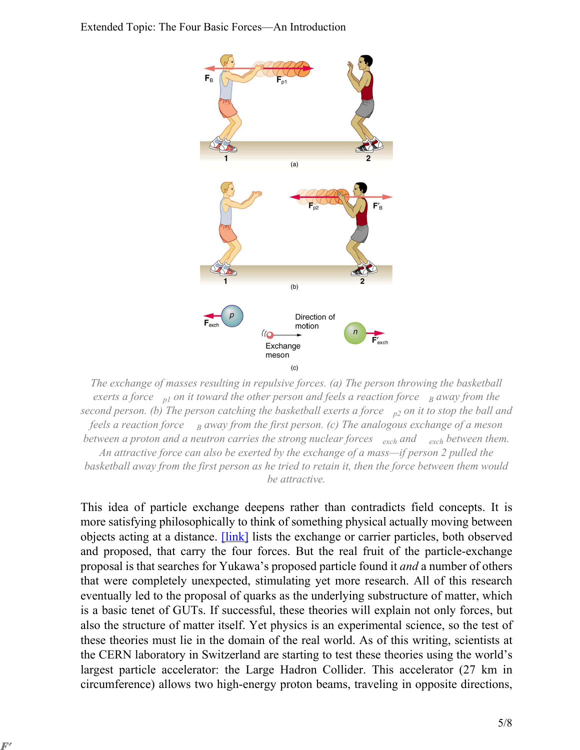<span id="page-4-0"></span>Extended Topic: The Four Basic Forces—An Introduction



*The exchange of masses resulting in repulsive forces. (a) The person throwing the basketball exerts a force* <sub>p1</sub> on it toward the other person and feels a reaction force <sub>B</sub> away from the *second person. (b) The person catching the basketball exerts a force*  $p_2$  *on it to stop the ball and feels a reaction force <sup>B</sup> away from the first person. (c) The analogous exchange of a meson between a proton and a neutron carries the strong nuclear forces* exch and exch between them. *An attractive force can also be exerted by the exchange of a mass—if person 2 pulled the basketball away from the first person as he tried to retain it, then the force between them would be attractive.*

This idea of particle exchange deepens rather than contradicts field concepts. It is more satisfying philosophically to think of something physical actually moving between objects acting at a distance. **[\[link\]](#page-1-0)** lists the exchange or carrier particles, both observed and proposed, that carry the four forces. But the real fruit of the particle-exchange proposal is that searches for Yukawa's proposed particle found it *and* a number of others that were completely unexpected, stimulating yet more research. All of this research eventually led to the proposal of quarks as the underlying substructure of matter, which is a basic tenet of GUTs. If successful, these theories will explain not only forces, but also the structure of matter itself. Yet physics is an experimental science, so the test of these theories must lie in the domain of the real world. As of this writing, scientists at the CERN laboratory in Switzerland are starting to test these theories using the world's largest particle accelerator: the Large Hadron Collider. This accelerator (27 km in circumference) allows two high-energy proton beams, traveling in opposite directions,

**F F′**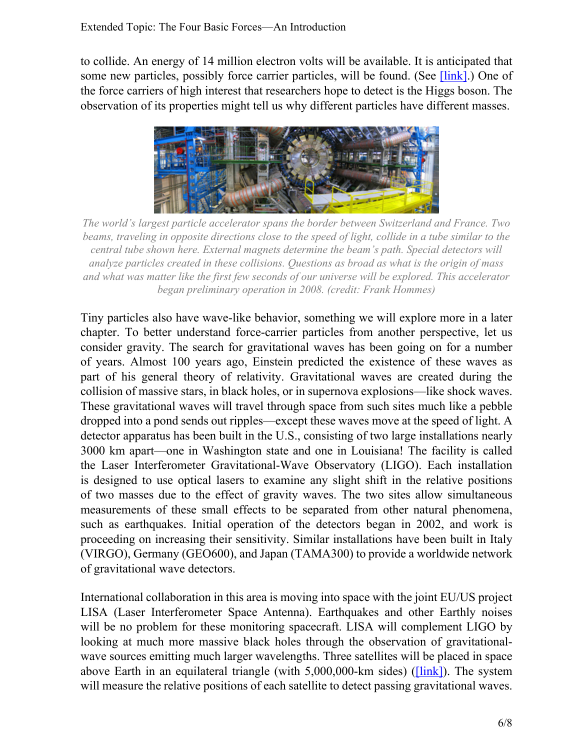to collide. An energy of 14 million electron volts will be available. It is anticipated that some new particles, possibly force carrier particles, will be found. (See [\[link\]](#page-5-0).) One of the force carriers of high interest that researchers hope to detect is the Higgs boson. The observation of its properties might tell us why different particles have different masses.

<span id="page-5-0"></span>

*The world's largest particle accelerator spans the border between Switzerland and France. Two beams, traveling in opposite directions close to the speed of light, collide in a tube similar to the central tube shown here. External magnets determine the beam's path. Special detectors will analyze particles created in these collisions. Questions as broad as what is the origin of mass and what was matter like the first few seconds of our universe will be explored. This accelerator began preliminary operation in 2008. (credit: Frank Hommes)*

Tiny particles also have wave-like behavior, something we will explore more in a later chapter. To better understand force-carrier particles from another perspective, let us consider gravity. The search for gravitational waves has been going on for a number of years. Almost 100 years ago, Einstein predicted the existence of these waves as part of his general theory of relativity. Gravitational waves are created during the collision of massive stars, in black holes, or in supernova explosions—like shock waves. These gravitational waves will travel through space from such sites much like a pebble dropped into a pond sends out ripples—except these waves move at the speed of light. A detector apparatus has been built in the U.S., consisting of two large installations nearly 3000 km apart—one in Washington state and one in Louisiana! The facility is called the Laser Interferometer Gravitational-Wave Observatory (LIGO). Each installation is designed to use optical lasers to examine any slight shift in the relative positions of two masses due to the effect of gravity waves. The two sites allow simultaneous measurements of these small effects to be separated from other natural phenomena, such as earthquakes. Initial operation of the detectors began in 2002, and work is proceeding on increasing their sensitivity. Similar installations have been built in Italy (VIRGO), Germany (GEO600), and Japan (TAMA300) to provide a worldwide network of gravitational wave detectors.

International collaboration in this area is moving into space with the joint EU/US project LISA (Laser Interferometer Space Antenna). Earthquakes and other Earthly noises will be no problem for these monitoring spacecraft. LISA will complement LIGO by looking at much more massive black holes through the observation of gravitationalwave sources emitting much larger wavelengths. Three satellites will be placed in space above Earth in an equilateral triangle (with  $5,000,000$ -km sides) ([\[link\]\)](#page-6-0). The system will measure the relative positions of each satellite to detect passing gravitational waves.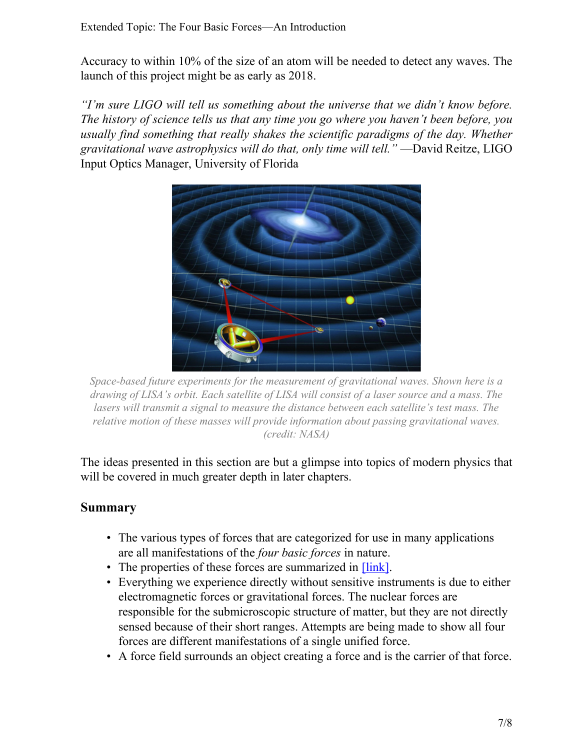Accuracy to within 10% of the size of an atom will be needed to detect any waves. The launch of this project might be as early as 2018.

*"I'm sure LIGO will tell us something about the universe that we didn't know before. The history of science tells us that any time you go where you haven't been before, you usually find something that really shakes the scientific paradigms of the day. Whether gravitational wave astrophysics will do that, only time will tell."* —David Reitze, LIGO Input Optics Manager, University of Florida

<span id="page-6-0"></span>

*Space-based future experiments for the measurement of gravitational waves. Shown here is a drawing of LISA's orbit. Each satellite of LISA will consist of a laser source and a mass. The lasers will transmit a signal to measure the distance between each satellite's test mass. The relative motion of these masses will provide information about passing gravitational waves. (credit: NASA)*

The ideas presented in this section are but a glimpse into topics of modern physics that will be covered in much greater depth in later chapters.

## **Summary**

- The various types of forces that are categorized for use in many applications are all manifestations of the *four basic forces* in nature.
- The properties of these forces are summarized in [\[link\].](#page-1-0)
- Everything we experience directly without sensitive instruments is due to either electromagnetic forces or gravitational forces. The nuclear forces are responsible for the submicroscopic structure of matter, but they are not directly sensed because of their short ranges. Attempts are being made to show all four forces are different manifestations of a single unified force.
- A force field surrounds an object creating a force and is the carrier of that force.